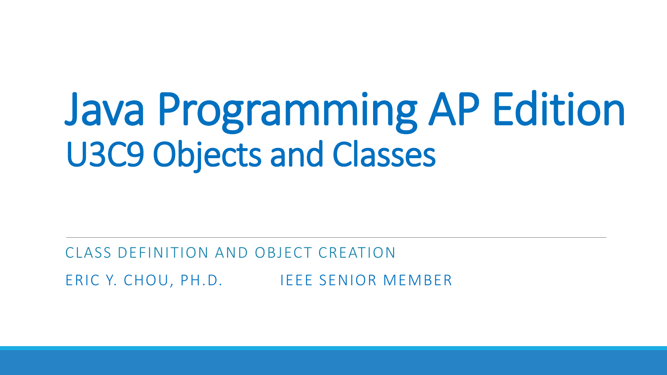# Java Programming AP Edition U3C9 Objects and Classes

#### CLASS DEFINITION AND OBJECT CREATION ERIC Y. CHOU, PH.D. IEEE SENIOR MEMBER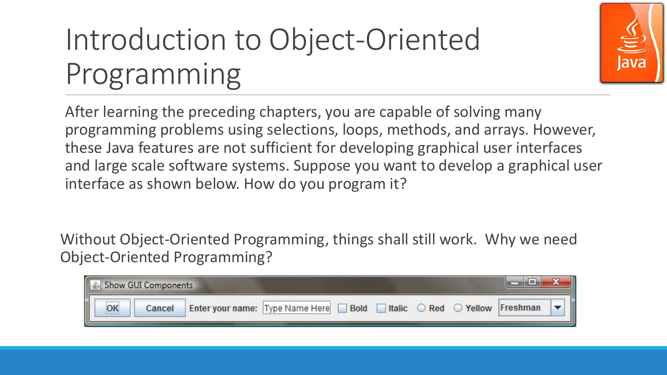## Introduction to Object-Oriented Programming



After learning the preceding chapters, you are capable of solving many programming problems using selections, loops, methods, and arrays. However, these Java features are not sufficient for developing graphical user interfaces and large scale software systems. Suppose you want to develop a graphical user interface as shown below. How do you program it?

Without Object-Oriented Programming, things shall still work. Why we need Object-Oriented Programming?

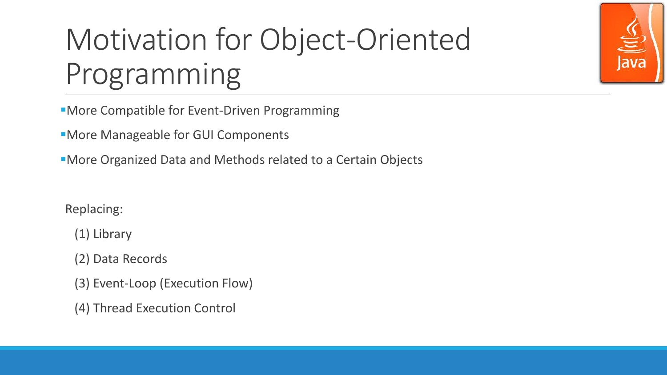

More Compatible for Event-Driven Programming

More Manageable for GUI Components

More Organized Data and Methods related to a Certain Objects

Replacing:

(1) Library

(2) Data Records

(3) Event-Loop (Execution Flow)

(4) Thread Execution Control

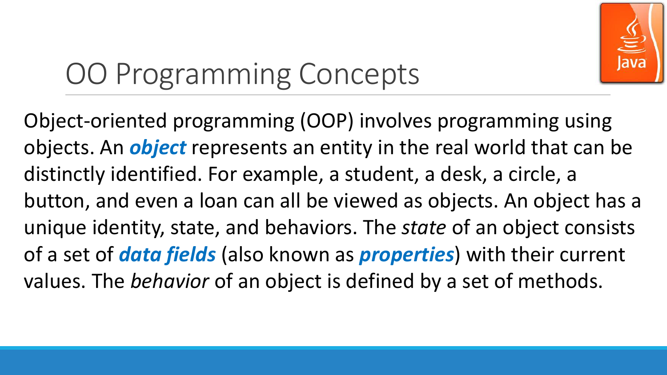

## OO Programming Concepts

Object-oriented programming (OOP) involves programming using objects. An *object* represents an entity in the real world that can be distinctly identified. For example, a student, a desk, a circle, a button, and even a loan can all be viewed as objects. An object has a unique identity, state, and behaviors. The *state* of an object consists of a set of *data fields* (also known as *properties*) with their current values. The *behavior* of an object is defined by a set of methods.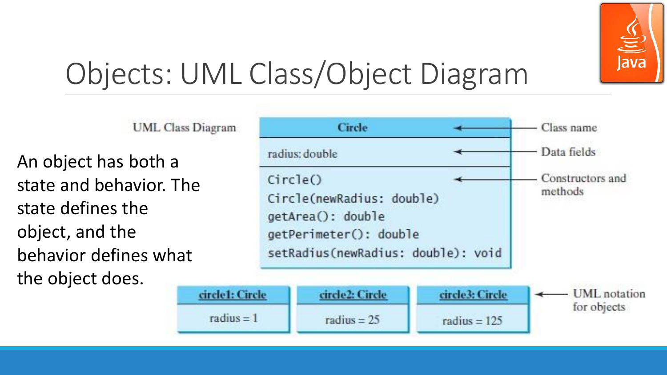

#### Objects: UML Class/Object Diagram

**UML** Class Diagram

An object has both a state and behavior. The state defines the object, and the behavior defines what the object does.

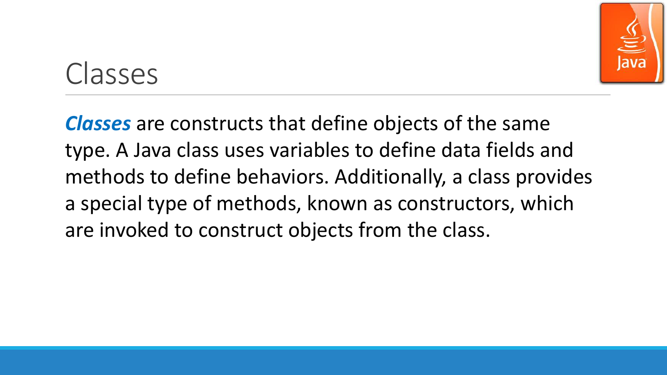

#### Classes

*Classes* are constructs that define objects of the same type. A Java class uses variables to define data fields and methods to define behaviors. Additionally, a class provides a special type of methods, known as constructors, which are invoked to construct objects from the class.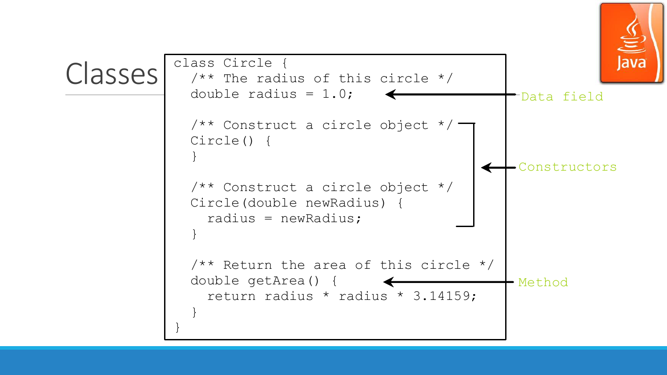